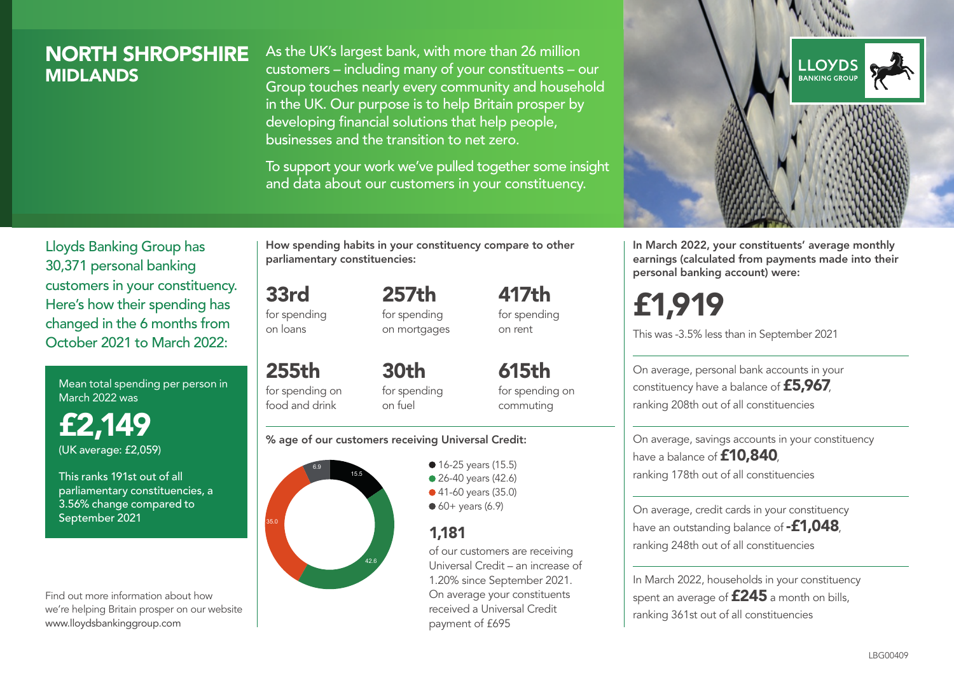# NORTH SHROPSHIRE MIDLANDS

As the UK's largest bank, with more than 26 million customers – including many of your constituents – our Group touches nearly every community and household in the UK. Our purpose is to help Britain prosper by developing financial solutions that help people, businesses and the transition to net zero.

To support your work we've pulled together some insight and data about our customers in your constituency.



In March 2022, your constituents' average monthly earnings (calculated from payments made into their personal banking account) were:

# £1,919

This was -3.5% less than in September 2021

On average, personal bank accounts in your constituency have a balance of £5,967, ranking 208th out of all constituencies

On average, savings accounts in your constituency have a balance of **£10,840** ranking 178th out of all constituencies

On average, credit cards in your constituency have an outstanding balance of **-£1,048**, ranking 248th out of all constituencies

In March 2022, households in your constituency spent an average of  $£245$  a month on bills, ranking 361st out of all constituencies

Lloyds Banking Group has 30,371 personal banking customers in your constituency. Here's how their spending has changed in the 6 months from October 2021 to March 2022:

Mean total spending per person in March 2022 was

£2,149 (UK average: £2,059)

This ranks 191st out of all parliamentary constituencies, a 3.56% change compared to September 2021

Find out more information about how we're helping Britain prosper on our website www.lloydsbankinggroup.com

How spending habits in your constituency compare to other parliamentary constituencies:

for spending 257th

33rd

on loans

255th

food and drink

for spending on mortgages 417th for spending on rent

for spending on 30th for spending on fuel

615th for spending on commuting

#### % age of our customers receiving Universal Credit:



• 16-25 years (15.5) • 26-40 years (42.6) ● 41-60 years (35.0)  $60+$  years (6.9)

## 1,181

of our customers are receiving Universal Credit – an increase of 1.20% since September 2021. On average your constituents received a Universal Credit payment of £695